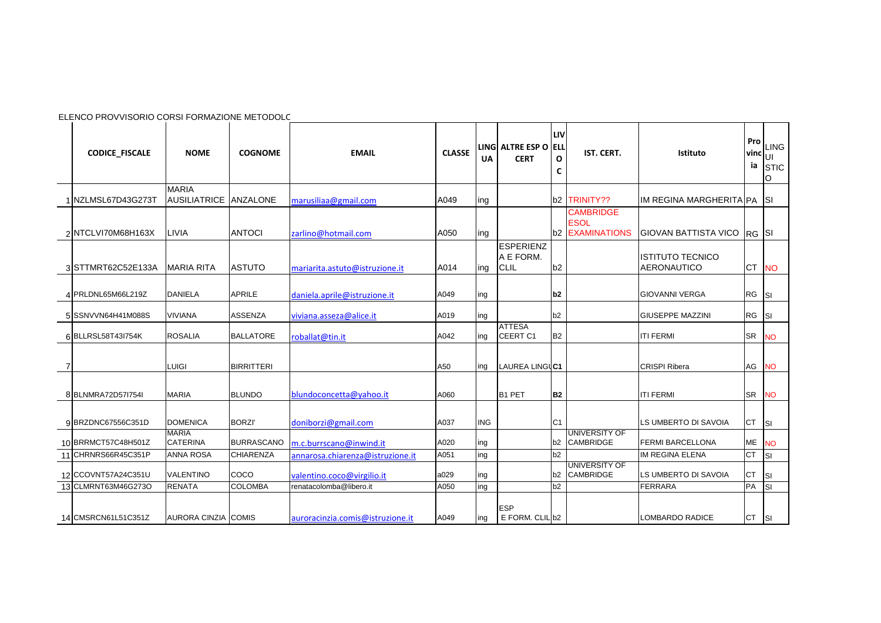|   | ELENCO PROVVISORIO CORSI FORMAZIONE METODOLC |                                     |                   |                                  |               |            |                                              |                |                                                           |                                               |                   |                                 |
|---|----------------------------------------------|-------------------------------------|-------------------|----------------------------------|---------------|------------|----------------------------------------------|----------------|-----------------------------------------------------------|-----------------------------------------------|-------------------|---------------------------------|
|   | <b>CODICE FISCALE</b>                        | <b>NOME</b>                         | <b>COGNOME</b>    | <b>EMAIL</b>                     | <b>CLASSE</b> | UA         | LING ALTRE ESP O ELL<br><b>CERT</b>          | LIV<br>O<br>C  | IST. CERT.                                                | Istituto                                      | Pro<br>vinc<br>ia | <b>LING</b><br>lυι<br>STIC<br>O |
|   | NZLMSL67D43G273T                             | <b>MARIA</b><br><b>AUSILIATRICE</b> | ANZALONE          | marusiliaa@gmail.com             | A049          | ing        |                                              |                | b <sub>2</sub> TRINITY??                                  | IM REGINA MARGHERITA PA SI                    |                   |                                 |
|   | 2 NTCLVI70M68H163X                           | LIVIA                               | <b>ANTOCI</b>     | zarlino@hotmail.com              | A050          | ing        |                                              |                | <b>CAMBRIDGE</b><br><b>ESOL</b><br><b>b2 EXAMINATIONS</b> | GIOVAN BATTISTA VICO RG SI                    |                   |                                 |
|   | 3 STTMRT62C52E133A                           | <b>MARIA RITA</b>                   | <b>ASTUTO</b>     | mariarita.astuto@istruzione.it   | A014          | ing        | <b>ESPERIENZ</b><br>A E FORM.<br><b>CLIL</b> | b2             |                                                           | <b>ISTITUTO TECNICO</b><br><b>AERONAUTICO</b> |                   | CT NO                           |
|   | 4 PRLDNL65M66L219Z                           | <b>DANIELA</b>                      | <b>APRILE</b>     | daniela.aprile@istruzione.it     | A049          | ing        |                                              | b <sub>2</sub> |                                                           | <b>GIOVANNI VERGA</b>                         | RG SI             |                                 |
|   | 5 SSNVVN64H41M088S                           | <b>VIVIANA</b>                      | <b>ASSENZA</b>    | viviana.asseza@alice.it          | A019          | ing        |                                              | b2             |                                                           | <b>GIUSEPPE MAZZINI</b>                       | RG SI             |                                 |
|   | 6 BLLRSL58T43l754K                           | <b>ROSALIA</b>                      | <b>BALLATORE</b>  | roballat@tin.it                  | A042          | ing        | <b>ATTESA</b><br>CEERT <sub>C1</sub>         | <b>B2</b>      |                                                           | <b>ITI FERMI</b>                              | <b>SR</b>         | <b>NO</b>                       |
| 7 |                                              | <b>LUIGI</b>                        | <b>BIRRITTERI</b> |                                  | A50           | ing        | LAUREA LINGUC1                               |                |                                                           | <b>CRISPI Ribera</b>                          | AG                | <b>NO</b>                       |
|   | 8 BLNMRA72D57I754I                           | <b>MARIA</b>                        | <b>BLUNDO</b>     | blundoconcetta@yahoo.it          | A060          |            | B1 PET                                       | B <sub>2</sub> |                                                           | <b>ITI FERMI</b>                              |                   | SR NO                           |
|   | 9 BRZDNC67556C351D                           | <b>DOMENICA</b>                     | <b>BORZI</b>      | doniborzi@gmail.com              | A037          | <b>ING</b> |                                              | C <sub>1</sub> |                                                           | LS UMBERTO DI SAVOIA                          | <b>CT</b>         | <b>SI</b>                       |
|   | 10 BRRMCT57C48H501Z                          | <b>MARIA</b><br><b>CATERINA</b>     | <b>BURRASCANO</b> | m.c.burrscano@inwind.it          | A020          | ing        |                                              | b2             | UNIVERSITY OF<br><b>CAMBRIDGE</b>                         | <b>FERMI BARCELLONA</b>                       | <b>ME</b>         | <b>NO</b>                       |
|   | 11 CHRNRS66R45C351P                          | <b>ANNA ROSA</b>                    | <b>CHIARENZA</b>  | annarosa.chiarenza@istruzione.it | A051          | ing        |                                              | b2             |                                                           | IM REGINA ELENA                               | <b>CT</b>         | $\vert$ SI                      |
|   | 12 CCOVNT57A24C351U                          | <b>VALENTINO</b>                    | COCO              | valentino.coco@virgilio.it       | a029          | ing        |                                              | b2             | <b>UNIVERSITY OF</b><br><b>CAMBRIDGE</b>                  | LS UMBERTO DI SAVOIA                          | <b>CT</b>         | SI                              |
|   | 13 CLMRNT63M46G273O                          | <b>RENATA</b>                       | <b>COLOMBA</b>    | renatacolomba@libero.it          | A050          | ing        |                                              | b2             |                                                           | <b>FERRARA</b>                                | PA                | <b>SI</b>                       |
|   | 14 CMSRCN61L51C351Z                          | <b>AURORA CINZIA COMIS</b>          |                   | auroracinzia.comis@istruzione.it | A049          | ing        | <b>ESP</b><br>E FORM. CLIL b2                |                |                                                           | LOMBARDO RADICE                               | $CT$ $ SI $       |                                 |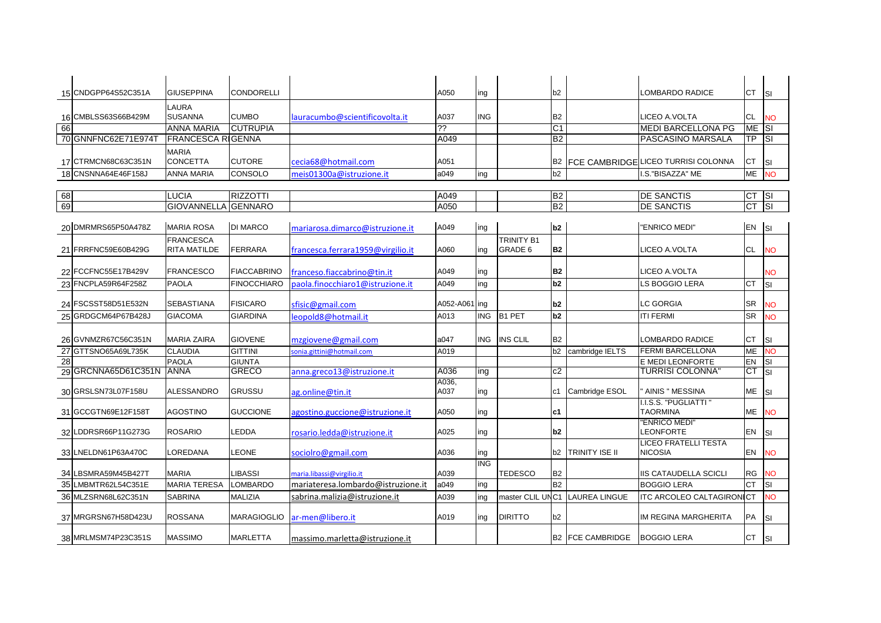|    | 15 CNDGPP64S52C351A | <b>GIUSEPPINA</b>        | CONDORELLI         |                                    | A050          | ing        |                  | b2              |                         | LOMBARDO RADICE                          | СT                     | <b>SI</b> |
|----|---------------------|--------------------------|--------------------|------------------------------------|---------------|------------|------------------|-----------------|-------------------------|------------------------------------------|------------------------|-----------|
|    |                     | LAURA                    |                    |                                    |               |            |                  |                 |                         |                                          |                        |           |
|    | 16 CMBLSS63S66B429M | <b>SUSANNA</b>           | <b>CUMBO</b>       | lauracumbo@scientificovolta.it     | A037          | <b>ING</b> |                  | <b>B2</b>       |                         | LICEO A.VOLTA                            | CL                     | <b>NO</b> |
| 66 |                     | <b>ANNA MARIA</b>        | <b>CUTRUPIA</b>    |                                    | ذذ            |            |                  | $\overline{C1}$ |                         | <b>MEDI BARCELLONA PG</b>                | ME                     | <b>SI</b> |
|    | 70 GNNFNC62E71E9741 | <b>FRANCESCA RIGENNA</b> |                    |                                    | A049          |            |                  | <b>B2</b>       |                         | PASCASINO MARSALA                        | ТP                     | <b>SI</b> |
|    |                     | <b>MARIA</b>             |                    |                                    |               |            |                  |                 |                         |                                          |                        |           |
|    | 17 CTRMCN68C63C351N | <b>CONCETTA</b>          | <b>CUTORE</b>      | cecia68@hotmail.com                | A051          |            |                  |                 |                         | B2 FCE CAMBRIDGE LICEO TURRISI COLONNA   | СT                     | <b>SI</b> |
|    | 18 CNSNNA64E46F158J | <b>ANNA MARIA</b>        | CONSOLO            | meis01300a@istruzione.it           | a049          | ing        |                  | b2              |                         | I.S."BISAZZA" ME                         | ME                     | <b>NO</b> |
|    |                     |                          |                    |                                    |               |            |                  |                 |                         |                                          |                        |           |
| 68 |                     | <b>LUCIA</b>             | <b>RIZZOTTI</b>    |                                    | A049          |            |                  | <b>B2</b>       |                         | <b>DE SANCTIS</b>                        | <b>CT</b>              | <b>SI</b> |
| 69 |                     | <b>GIOVANNELLA</b>       | <b>GENNARO</b>     |                                    | A050          |            |                  | B2              |                         | <b>DE SANCTIS</b>                        | $\overline{\text{CT}}$ | ĪSI       |
|    |                     |                          |                    |                                    |               |            |                  |                 |                         |                                          |                        |           |
|    | 20 DMRMRS65P50A478Z | <b>MARIA ROSA</b>        | <b>DI MARCO</b>    | mariarosa.dimarco@istruzione.it    | A049          | ing        |                  | b <sub>2</sub>  |                         | "ENRICO MEDI"                            | EN                     | <b>SI</b> |
|    |                     | <b>FRANCESCA</b>         |                    |                                    |               |            | TRINITY B1       |                 |                         |                                          |                        |           |
|    | 21 FRRFNC59E60B429G | RITA MATILDE             | FERRARA            | francesca.ferrara1959@virgilio.it  | A060          | ing        | GRADE 6          | <b>B2</b>       |                         | LICEO A.VOLTA                            | CL                     | <b>NO</b> |
|    |                     |                          |                    |                                    |               |            |                  |                 |                         |                                          |                        |           |
|    | 22 FCCFNC55E17B429V | <b>FRANCESCO</b>         | <b>FIACCABRINO</b> | franceso.fiaccabrino@tin.it        | A049          | ing        |                  | <b>B2</b>       |                         | LICEO A.VOLTA                            |                        | <b>NO</b> |
|    | 23 FNCPLA59R64F258Z | <b>PAOLA</b>             | FINOCCHIARO        | paola.finocchiaro1@istruzione.it   | A049          | ing        |                  | b2              |                         | LS BOGGIO LERA                           | <b>CT</b>              | SI        |
|    |                     |                          |                    |                                    |               |            |                  |                 |                         |                                          |                        |           |
|    | 24 FSCSST58D51E532N | <b>SEBASTIANA</b>        | <b>FISICARO</b>    | sfisic@gmail.com                   | A052-A061 ing |            |                  | b2              |                         | <b>LC GORGIA</b>                         | <b>SR</b>              | <b>NO</b> |
|    | 25 GRDGCM64P67B428J | <b>GIACOMA</b>           | <b>GIARDINA</b>    | leopold8@hotmail.it                | A013          | <b>ING</b> | <b>B1 PET</b>    | b2              |                         | <b>ITI FERMI</b>                         | <b>SR</b>              | <b>NO</b> |
|    |                     |                          |                    |                                    |               |            |                  |                 |                         |                                          |                        |           |
|    | 26 GVNMZR67C56C351N | <b>MARIA ZAIRA</b>       | <b>GIOVENE</b>     | mzgiovene@gmail.com                | a047          | <b>ING</b> | <b>INS CLIL</b>  | <b>B2</b>       |                         | LOMBARDO RADICE                          | <b>CT</b>              | <b>SI</b> |
|    | 27 GTTSNO65A69L735K | <b>CLAUDIA</b>           | <b>GITTINI</b>     | onia.gittini@hotmail.com           | A019          |            |                  | b2              | cambridge IELTS         | <b>FERMI BARCELLONA</b>                  | ME                     | <b>NO</b> |
| 28 |                     | <b>PAOLA</b>             | <b>GIUNTA</b>      |                                    |               |            |                  |                 |                         | <b>E MEDI LEONFORTE</b>                  | EN                     | SI        |
|    | 29 GRCNNA65D61C351N | <b>ANNA</b>              | <b>GRECO</b>       | anna.greco13@istruzione.it         | A036          | ing        |                  | c2              |                         | TURRISI COLONNA                          | СT                     | <b>SI</b> |
|    |                     |                          |                    |                                    | A036,         |            |                  |                 |                         |                                          |                        |           |
|    | 30 GRSLSN73L07F158U | ALESSANDRO               | GRUSSU             | ag.online@tin.it                   | A037          | ing        |                  | c1              | Cambridge ESOL          | <b>AINIS " MESSINA</b>                   | ME                     | SI        |
|    | 31 GCCGTN69E12F158T | <b>AGOSTINO</b>          | <b>GUCCIONE</b>    | agostino.guccione@istruzione.it    | A050          |            |                  | c1              |                         | I.I.S.S. "PUGLIATTI "<br><b>TAORMINA</b> | МE                     | <b>NO</b> |
|    |                     |                          |                    |                                    |               | ing        |                  |                 |                         | "ENRICO MEDI"                            |                        |           |
|    | 32 LDDRSR66P11G273G | <b>ROSARIO</b>           | LEDDA              | rosario.ledda@istruzione.it        | A025          | ing        |                  | b <sub>2</sub>  |                         | <b>LEONFORTE</b>                         | EN                     | SI        |
|    |                     |                          |                    |                                    |               |            |                  |                 |                         | LICEO FRATELLI TESTA                     |                        |           |
|    | 33 LNELDN61P63A470C | LOREDANA                 | <b>LEONE</b>       | sociolro@gmail.com                 | A036          | ing        |                  | b2              | TRINITY ISE II          | <b>NICOSIA</b>                           | EN                     | <b>NO</b> |
|    |                     |                          |                    |                                    |               | <b>ING</b> |                  |                 |                         |                                          |                        |           |
|    | 34 LBSMRA59M45B427T | <b>MARIA</b>             | <b>LIBASSI</b>     | maria.libassi@virgilio.it          | A039          |            | <b>TEDESCO</b>   | <b>B2</b>       |                         | <b>IIS CATAUDELLA SCICLI</b>             | <b>RG</b>              | <b>NO</b> |
|    | 35 LMBMTR62L54C351E | <b>MARIA TERESA</b>      | <b>LOMBARDO</b>    | mariateresa.lombardo@istruzione.it | a049          | ing        |                  | <b>B2</b>       |                         | <b>BOGGIO LERA</b>                       | <b>CT</b>              | SI        |
|    | 36 MLZSRN68L62C351N | <b>SABRINA</b>           | <b>MALIZIA</b>     | sabrina.malizia@istruzione.it      | A039          | ing        | master CLIL UNC1 |                 | <b>LAUREA LINGUE</b>    | <b>ITC ARCOLEO CALTAGIRONI</b>           | <b>CT</b>              | <b>NO</b> |
|    |                     |                          |                    |                                    |               |            |                  |                 |                         |                                          |                        |           |
|    | 37 MRGRSN67H58D423U | ROSSANA                  | MARAGIOGLIO        | ar-men@libero.it                   | A019          | ing        | <b>DIRITTO</b>   | b2              |                         | IM REGINA MARGHERITA                     | PA                     | <b>SI</b> |
|    |                     |                          |                    |                                    |               |            |                  |                 |                         |                                          |                        |           |
|    | 38 MRLMSM74P23C351S | <b>MASSIMO</b>           | <b>MARLETTA</b>    | massimo.marletta@istruzione.it     |               |            |                  |                 | <b>B2 FCE CAMBRIDGE</b> | <b>BOGGIO LERA</b>                       | <b>CT</b>              | <b>SI</b> |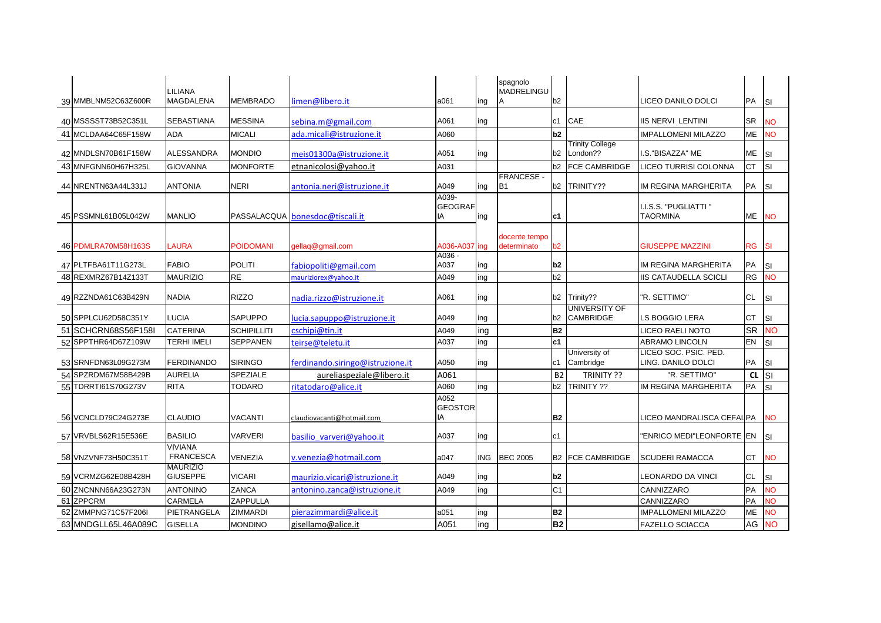| 39 MMBLNM52C63Z600R | LILIANA<br><b>MAGDALENA</b>        | <b>MEMBRADO</b>    | limen@libero.it                  | a061                          | ing | spagnolo<br>MADRELINGU<br>A        | b2              |                                          | LICEO DANILO DOLCI                          | PA        | <b>SI</b> |
|---------------------|------------------------------------|--------------------|----------------------------------|-------------------------------|-----|------------------------------------|-----------------|------------------------------------------|---------------------------------------------|-----------|-----------|
| 40 MSSSST73B52C351L | <b>SEBASTIANA</b>                  | <b>MESSINA</b>     | sebina.m@gmail.com               | A061                          | ing |                                    | lc1             | CAE                                      | <b>IIS NERVI LENTINI</b>                    | <b>SR</b> | <b>NO</b> |
| 41 MCLDAA64C65F158W | <b>ADA</b>                         | <b>MICALI</b>      | ada.micali@istruzione.it         | A060                          |     |                                    | b2              |                                          | <b>IMPALLOMENI MILAZZO</b>                  | <b>ME</b> | <b>NO</b> |
|                     |                                    |                    |                                  |                               |     |                                    |                 | <b>Trinity College</b>                   |                                             |           |           |
| 42 MNDLSN70B61F158W | <b>ALESSANDRA</b>                  | <b>MONDIO</b>      | meis01300a@istruzione.it         | A051                          | ing |                                    | b2              | London??                                 | I.S."BISAZZA" ME                            | <b>ME</b> | Isı       |
| 43 MNFGNN60H67H325L | <b>GIOVANNA</b>                    | <b>MONFORTE</b>    | etnanicolosi@yahoo.it            | A031                          |     |                                    | b2              | FCE CAMBRIDGE                            | LICEO TURRISI COLONNA                       | <b>CT</b> | Isı       |
| 44 NRENTN63A44L331J | <b>ANTONIA</b>                     | NERI               | antonia.neri@istruzione.it       | A049                          | ing | <b>FRANCESE-</b><br>B <sub>1</sub> | b2              | TRINITY??                                | IM REGINA MARGHERITA                        | PA        | <b>SI</b> |
| 45 PSSMNL61B05L042W | <b>MANLIO</b>                      |                    | PASSALACQUA bonesdoc@tiscali.it  | A039-<br><b>GEOGRAF</b><br>ΙA | ing |                                    | lc1             |                                          | I.I.S.S. "PUGLIATTI"<br><b>TAORMINA</b>     | ME        | <b>NO</b> |
| 46 PDMLRA70M58H163S | <b>LAURA</b>                       | POIDOMANI          | gellaq@gmail.com                 | A036-A037 ing                 |     | docente tempo<br>determinato       | b2              |                                          | <b>GIUSEPPE MAZZINI</b>                     | <b>RG</b> | <b>SI</b> |
| 47 PLTFBA61T11G273L | <b>FABIO</b>                       | <b>POLITI</b>      | fabiopoliti@gmail.com            | A036 -<br>A037                | ing |                                    | lb <sub>2</sub> |                                          | IM REGINA MARGHERITA                        | PA        | <b>SI</b> |
| 48 REXMRZ67B14Z133T | <b>MAURIZIO</b>                    | <b>RE</b>          | mauriziorex@yahoo.it             | A049                          | ing |                                    | b2              |                                          | <b>IIS CATAUDELLA SCICLI</b>                | RG        | <b>NO</b> |
| 49 RZZNDA61C63B429N | <b>NADIA</b>                       | <b>RIZZO</b>       | nadia.rizzo@istruzione.it        | A061                          | ing |                                    | b2              | Trinity??                                | "R. SETTIMO"                                | CL        | <b>SI</b> |
| 50 SPPLCU62D58C351Y | <b>LUCIA</b>                       | <b>SAPUPPO</b>     | lucia.sapuppo@istruzione.it      | A049                          | ing |                                    | b2              | <b>UNIVERSITY OF</b><br><b>CAMBRIDGE</b> | <b>LS BOGGIO LERA</b>                       | <b>CT</b> | <b>SI</b> |
| 51 SCHCRN68S56F158I | <b>CATERINA</b>                    | <b>SCHIPILLITI</b> | cschipi@tin.it                   | A049                          | ing |                                    | B <sub>2</sub>  |                                          | LICEO RAELI NOTO                            | <b>SR</b> | <b>NO</b> |
| 52 SPPTHR64D67Z109W | TERHI IMELI                        | <b>SEPPANEN</b>    | teirse@teletu.it                 | A037                          | ing |                                    | c1              |                                          | <b>ABRAMO LINCOLN</b>                       | EN        | <b>SI</b> |
| 53 SRNFDN63L09G273M | <b>FERDINANDO</b>                  | <b>SIRINGO</b>     | ferdinando.siringo@istruzione.it | A050                          | ing |                                    | c1              | University of<br>Cambridge               | LICEO SOC. PSIC. PED.<br>LING. DANILO DOLCI | PA        | <b>SI</b> |
| 54 SPZRDM67M58B429B | <b>AURELIA</b>                     | <b>SPEZIALE</b>    | aureliaspeziale@libero.it        | A061                          |     |                                    | <b>B2</b>       | TRINITY ??                               | "R. SETTIMO"                                | <b>CL</b> | <b>SI</b> |
| 55 TDRRTI61S70G273V | <b>RITA</b>                        | TODARO             | ritatodaro@alice.it              | A060                          | ing |                                    | b2              | TRINITY ??                               | IM REGINA MARGHERITA                        | PA        | <b>SI</b> |
| 56 VCNCLD79C24G273E | <b>CLAUDIO</b>                     | VACANTI            | claudiovacanti@hotmail.com       | A052<br><b>GEOSTOR</b><br>IA  |     |                                    | B <sub>2</sub>  |                                          | LICEO MANDRALISCA CEFAL PA                  |           | <b>NO</b> |
| 57 VRVBLS62R15E536E | <b>BASILIO</b>                     | VARVERI            | basilio varveri@yahoo.it         | A037                          | ing |                                    | c1              |                                          | 'ENRICO MEDI"LEONFORTE EN                   |           | <b>SI</b> |
| 58 VNZVNF73H50C351T | <b>VIVIANA</b><br><b>FRANCESCA</b> | VENEZIA            | v.venezia@hotmail.com            | a047                          | ING | <b>BEC 2005</b>                    | B <sub>2</sub>  | <b>FCE CAMBRIDGE</b>                     | <b>ISCUDERI RAMACCA</b>                     | <b>CT</b> | <b>NO</b> |
| 59 VCRMZG62E08B428H | <b>MAURIZIO</b><br><b>GIUSEPPE</b> | <b>VICARI</b>      | maurizio.vicari@istruzione.it    | A049                          | ing |                                    | b2              |                                          | <b>LEONARDO DA VINCI</b>                    | <b>CL</b> | <b>SI</b> |
| 60 ZNCNNN66A23G273N | <b>ANTONINO</b>                    | ZANCA              | antonino.zanca@istruzione.it     | A049                          | ing |                                    | C <sub>1</sub>  |                                          | CANNIZZARO                                  | PA        | <b>NO</b> |
| 61 ZPPCRM           | CARMELA                            | ZAPPULLA           |                                  |                               |     |                                    |                 |                                          | CANNIZZARO                                  | PA        | <b>NO</b> |
| 62 ZMMPNG71C57F206I | PIETRANGELA                        | ZIMMARDI           | pierazimmardi@alice.it           | a051                          | ing |                                    | B <sub>2</sub>  |                                          | <b>IMPALLOMENI MILAZZO</b>                  | ME        | <b>NO</b> |
| 63 MNDGLL65L46A089C | <b>GISELLA</b>                     | <b>MONDINO</b>     | gisellamo@alice.it               | A051                          | ing |                                    | B <sub>2</sub>  |                                          | <b>FAZELLO SCIACCA</b>                      | AG        | <b>NO</b> |